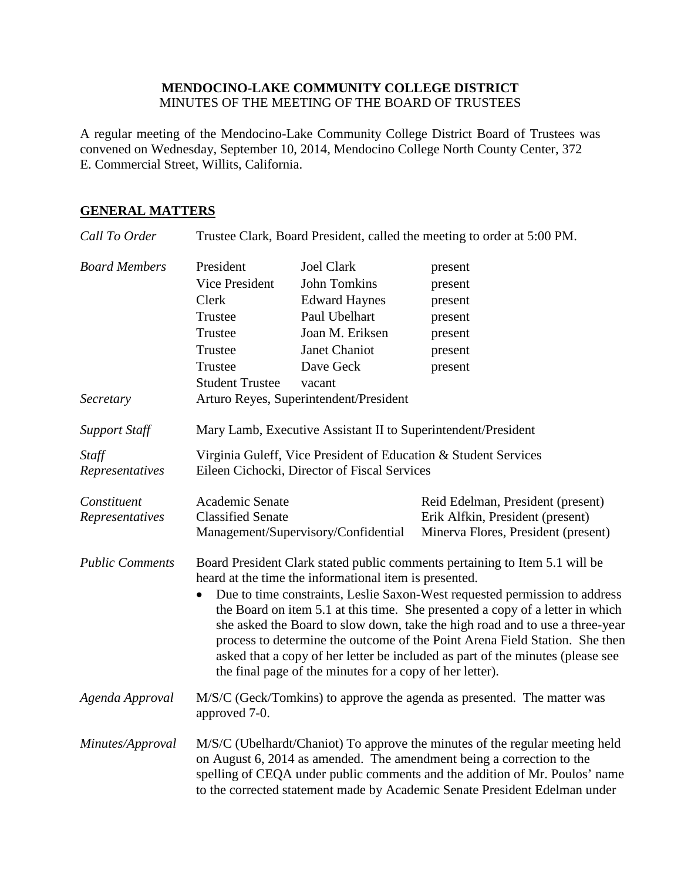## **MENDOCINO-LAKE COMMUNITY COLLEGE DISTRICT** MINUTES OF THE MEETING OF THE BOARD OF TRUSTEES

A regular meeting of the Mendocino-Lake Community College District Board of Trustees was convened on Wednesday, September 10, 2014, Mendocino College North County Center, 372 E. Commercial Street, Willits, California.

# **GENERAL MATTERS**

| Call To Order                     | Trustee Clark, Board President, called the meeting to order at 5:00 PM.                                                                                                                                                                                                                                                                                                                                                                                                                                                                                                                                                        |                                                                                                                                                                                        |                                                                                                              |
|-----------------------------------|--------------------------------------------------------------------------------------------------------------------------------------------------------------------------------------------------------------------------------------------------------------------------------------------------------------------------------------------------------------------------------------------------------------------------------------------------------------------------------------------------------------------------------------------------------------------------------------------------------------------------------|----------------------------------------------------------------------------------------------------------------------------------------------------------------------------------------|--------------------------------------------------------------------------------------------------------------|
| <b>Board Members</b><br>Secretary | President<br>Vice President<br><b>Clerk</b><br>Trustee<br>Trustee<br>Trustee<br>Trustee<br><b>Student Trustee</b>                                                                                                                                                                                                                                                                                                                                                                                                                                                                                                              | <b>Joel Clark</b><br><b>John Tomkins</b><br><b>Edward Haynes</b><br>Paul Ubelhart<br>Joan M. Eriksen<br>Janet Chaniot<br>Dave Geck<br>vacant<br>Arturo Reyes, Superintendent/President | present<br>present<br>present<br>present<br>present<br>present<br>present                                    |
| <b>Support Staff</b>              | Mary Lamb, Executive Assistant II to Superintendent/President                                                                                                                                                                                                                                                                                                                                                                                                                                                                                                                                                                  |                                                                                                                                                                                        |                                                                                                              |
| Staff<br>Representatives          | Virginia Guleff, Vice President of Education & Student Services<br>Eileen Cichocki, Director of Fiscal Services                                                                                                                                                                                                                                                                                                                                                                                                                                                                                                                |                                                                                                                                                                                        |                                                                                                              |
| Constituent<br>Representatives    | Academic Senate<br><b>Classified Senate</b><br>Management/Supervisory/Confidential                                                                                                                                                                                                                                                                                                                                                                                                                                                                                                                                             |                                                                                                                                                                                        | Reid Edelman, President (present)<br>Erik Alfkin, President (present)<br>Minerva Flores, President (present) |
| <b>Public Comments</b>            | Board President Clark stated public comments pertaining to Item 5.1 will be<br>heard at the time the informational item is presented.<br>Due to time constraints, Leslie Saxon-West requested permission to address<br>$\bullet$<br>the Board on item 5.1 at this time. She presented a copy of a letter in which<br>she asked the Board to slow down, take the high road and to use a three-year<br>process to determine the outcome of the Point Arena Field Station. She then<br>asked that a copy of her letter be included as part of the minutes (please see<br>the final page of the minutes for a copy of her letter). |                                                                                                                                                                                        |                                                                                                              |
| Agenda Approval                   | M/S/C (Geck/Tomkins) to approve the agenda as presented. The matter was<br>approved 7-0.                                                                                                                                                                                                                                                                                                                                                                                                                                                                                                                                       |                                                                                                                                                                                        |                                                                                                              |
| Minutes/Approval                  | M/S/C (Ubelhardt/Chaniot) To approve the minutes of the regular meeting held<br>on August 6, 2014 as amended. The amendment being a correction to the<br>spelling of CEQA under public comments and the addition of Mr. Poulos' name<br>to the corrected statement made by Academic Senate President Edelman under                                                                                                                                                                                                                                                                                                             |                                                                                                                                                                                        |                                                                                                              |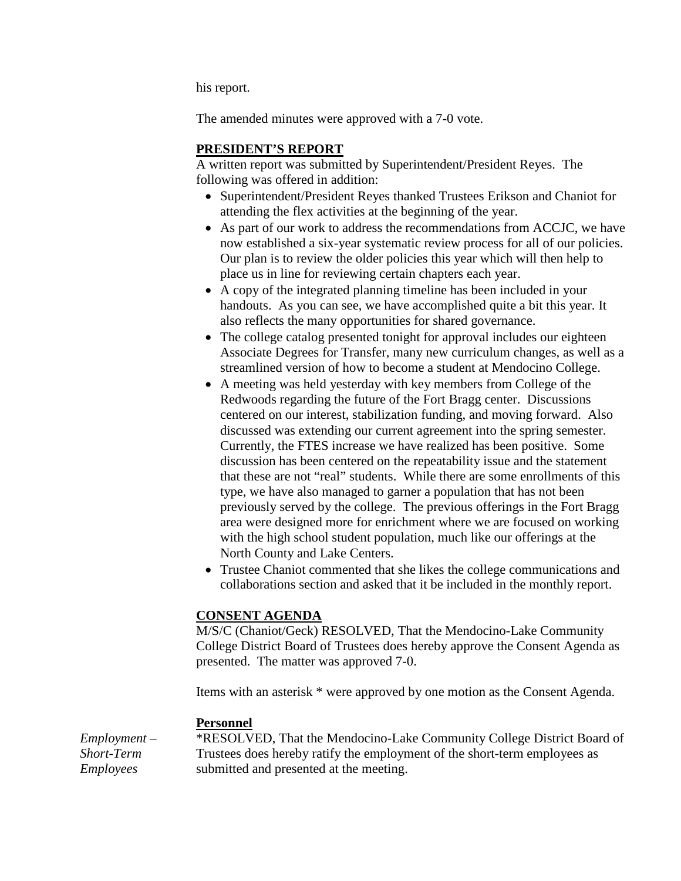his report.

The amended minutes were approved with a 7-0 vote.

## **PRESIDENT'S REPORT**

A written report was submitted by Superintendent/President Reyes. The following was offered in addition:

- Superintendent/President Reyes thanked Trustees Erikson and Chaniot for attending the flex activities at the beginning of the year.
- As part of our work to address the recommendations from ACCJC, we have now established a six-year systematic review process for all of our policies. Our plan is to review the older policies this year which will then help to place us in line for reviewing certain chapters each year.
- A copy of the integrated planning timeline has been included in your handouts. As you can see, we have accomplished quite a bit this year. It also reflects the many opportunities for shared governance.
- The college catalog presented tonight for approval includes our eighteen Associate Degrees for Transfer, many new curriculum changes, as well as a streamlined version of how to become a student at Mendocino College.
- A meeting was held yesterday with key members from College of the Redwoods regarding the future of the Fort Bragg center. Discussions centered on our interest, stabilization funding, and moving forward. Also discussed was extending our current agreement into the spring semester. Currently, the FTES increase we have realized has been positive. Some discussion has been centered on the repeatability issue and the statement that these are not "real" students. While there are some enrollments of this type, we have also managed to garner a population that has not been previously served by the college. The previous offerings in the Fort Bragg area were designed more for enrichment where we are focused on working with the high school student population, much like our offerings at the North County and Lake Centers.
- Trustee Chaniot commented that she likes the college communications and collaborations section and asked that it be included in the monthly report.

### **CONSENT AGENDA**

M/S/C (Chaniot/Geck) RESOLVED, That the Mendocino-Lake Community College District Board of Trustees does hereby approve the Consent Agenda as presented. The matter was approved 7-0.

Items with an asterisk \* were approved by one motion as the Consent Agenda.

### **Personnel**

*Employment – Short-Term Employees*

\*RESOLVED, That the Mendocino-Lake Community College District Board of Trustees does hereby ratify the employment of the short-term employees as submitted and presented at the meeting.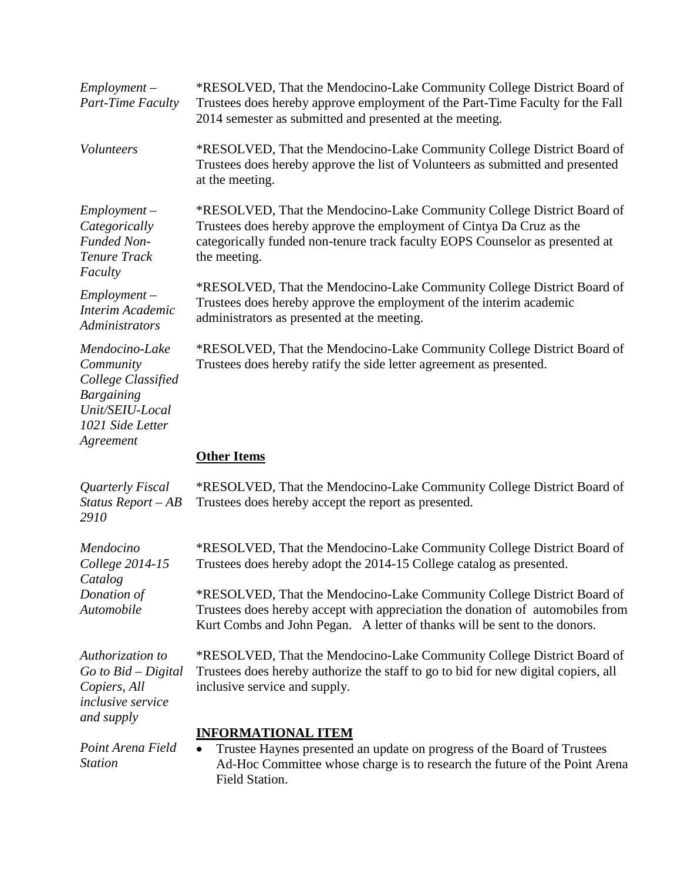| $Employment -$<br>Part-Time Faculty                                                                                        | *RESOLVED, That the Mendocino-Lake Community College District Board of<br>Trustees does hereby approve employment of the Part-Time Faculty for the Fall<br>2014 semester as submitted and presented at the meeting.                            |  |  |
|----------------------------------------------------------------------------------------------------------------------------|------------------------------------------------------------------------------------------------------------------------------------------------------------------------------------------------------------------------------------------------|--|--|
| Volunteers                                                                                                                 | *RESOLVED, That the Mendocino-Lake Community College District Board of<br>Trustees does hereby approve the list of Volunteers as submitted and presented<br>at the meeting.                                                                    |  |  |
| $Employment -$<br>Categorically<br><b>Funded Non-</b><br>Tenure Track<br>Faculty                                           | *RESOLVED, That the Mendocino-Lake Community College District Board of<br>Trustees does hereby approve the employment of Cintya Da Cruz as the<br>categorically funded non-tenure track faculty EOPS Counselor as presented at<br>the meeting. |  |  |
| $Employment -$<br>Interim Academic<br>Administrators                                                                       | *RESOLVED, That the Mendocino-Lake Community College District Board of<br>Trustees does hereby approve the employment of the interim academic<br>administrators as presented at the meeting.                                                   |  |  |
| Mendocino-Lake<br>Community<br>College Classified<br><b>Bargaining</b><br>Unit/SEIU-Local<br>1021 Side Letter<br>Agreement | *RESOLVED, That the Mendocino-Lake Community College District Board of<br>Trustees does hereby ratify the side letter agreement as presented.                                                                                                  |  |  |
|                                                                                                                            | <b>Other Items</b>                                                                                                                                                                                                                             |  |  |
| Quarterly Fiscal<br>Status Report - AB<br>2910                                                                             | *RESOLVED, That the Mendocino-Lake Community College District Board of<br>Trustees does hereby accept the report as presented.                                                                                                                 |  |  |
| Mendocino<br>College 2014-15<br>Catalog<br>Donation of<br>Automobile                                                       | *RESOLVED, That the Mendocino-Lake Community College District Board of<br>Trustees does hereby adopt the 2014-15 College catalog as presented.                                                                                                 |  |  |
|                                                                                                                            | *RESOLVED, That the Mendocino-Lake Community College District Board of<br>Trustees does hereby accept with appreciation the donation of automobiles from<br>Kurt Combs and John Pegan. A letter of thanks will be sent to the donors.          |  |  |
| Authorization to<br>$Go$ to $Bid$ – Digital<br>Copiers, All<br><i>inclusive service</i><br>and supply                      | *RESOLVED, That the Mendocino-Lake Community College District Board of<br>Trustees does hereby authorize the staff to go to bid for new digital copiers, all<br>inclusive service and supply.                                                  |  |  |
| Point Arena Field<br><b>Station</b>                                                                                        | <b>INFORMATIONAL ITEM</b><br>Trustee Haynes presented an update on progress of the Board of Trustees<br>$\bullet$<br>Ad-Hoc Committee whose charge is to research the future of the Point Arena<br>Field Station.                              |  |  |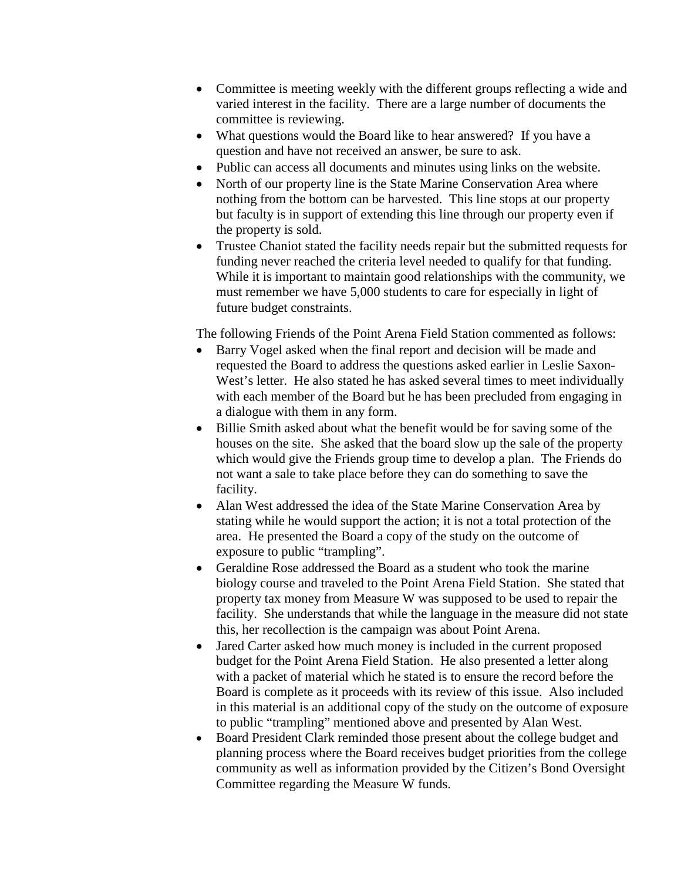- Committee is meeting weekly with the different groups reflecting a wide and varied interest in the facility. There are a large number of documents the committee is reviewing.
- What questions would the Board like to hear answered? If you have a question and have not received an answer, be sure to ask.
- Public can access all documents and minutes using links on the website.
- North of our property line is the State Marine Conservation Area where nothing from the bottom can be harvested. This line stops at our property but faculty is in support of extending this line through our property even if the property is sold.
- Trustee Chaniot stated the facility needs repair but the submitted requests for funding never reached the criteria level needed to qualify for that funding. While it is important to maintain good relationships with the community, we must remember we have 5,000 students to care for especially in light of future budget constraints.

The following Friends of the Point Arena Field Station commented as follows:

- Barry Vogel asked when the final report and decision will be made and requested the Board to address the questions asked earlier in Leslie Saxon-West's letter. He also stated he has asked several times to meet individually with each member of the Board but he has been precluded from engaging in a dialogue with them in any form.
- Billie Smith asked about what the benefit would be for saving some of the houses on the site. She asked that the board slow up the sale of the property which would give the Friends group time to develop a plan. The Friends do not want a sale to take place before they can do something to save the facility.
- Alan West addressed the idea of the State Marine Conservation Area by stating while he would support the action; it is not a total protection of the area. He presented the Board a copy of the study on the outcome of exposure to public "trampling".
- Geraldine Rose addressed the Board as a student who took the marine biology course and traveled to the Point Arena Field Station. She stated that property tax money from Measure W was supposed to be used to repair the facility. She understands that while the language in the measure did not state this, her recollection is the campaign was about Point Arena.
- Jared Carter asked how much money is included in the current proposed budget for the Point Arena Field Station. He also presented a letter along with a packet of material which he stated is to ensure the record before the Board is complete as it proceeds with its review of this issue. Also included in this material is an additional copy of the study on the outcome of exposure to public "trampling" mentioned above and presented by Alan West.
- Board President Clark reminded those present about the college budget and planning process where the Board receives budget priorities from the college community as well as information provided by the Citizen's Bond Oversight Committee regarding the Measure W funds.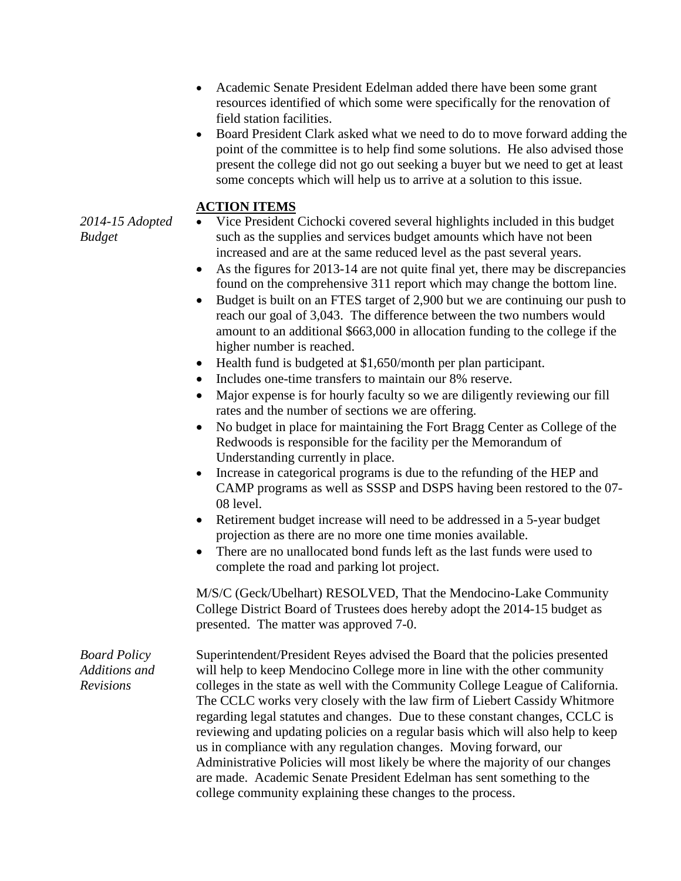- Academic Senate President Edelman added there have been some grant resources identified of which some were specifically for the renovation of field station facilities.
- Board President Clark asked what we need to do to move forward adding the point of the committee is to help find some solutions. He also advised those present the college did not go out seeking a buyer but we need to get at least some concepts which will help us to arrive at a solution to this issue.

# **ACTION ITEMS**

- *2014-15 Adopted Budget*
- Vice President Cichocki covered several highlights included in this budget such as the supplies and services budget amounts which have not been increased and are at the same reduced level as the past several years.
- As the figures for 2013-14 are not quite final yet, there may be discrepancies found on the comprehensive 311 report which may change the bottom line.
- Budget is built on an FTES target of 2,900 but we are continuing our push to reach our goal of 3,043. The difference between the two numbers would amount to an additional \$663,000 in allocation funding to the college if the higher number is reached.
- Health fund is budgeted at \$1,650/month per plan participant.
- Includes one-time transfers to maintain our 8% reserve.
- Major expense is for hourly faculty so we are diligently reviewing our fill rates and the number of sections we are offering.
- No budget in place for maintaining the Fort Bragg Center as College of the Redwoods is responsible for the facility per the Memorandum of Understanding currently in place.
- Increase in categorical programs is due to the refunding of the HEP and CAMP programs as well as SSSP and DSPS having been restored to the 07- 08 level.
- Retirement budget increase will need to be addressed in a 5-year budget projection as there are no more one time monies available.
- There are no unallocated bond funds left as the last funds were used to complete the road and parking lot project.

M/S/C (Geck/Ubelhart) RESOLVED, That the Mendocino-Lake Community College District Board of Trustees does hereby adopt the 2014-15 budget as presented. The matter was approved 7-0.

*Board Policy Additions and Revisions*

Superintendent/President Reyes advised the Board that the policies presented will help to keep Mendocino College more in line with the other community colleges in the state as well with the Community College League of California. The CCLC works very closely with the law firm of Liebert Cassidy Whitmore regarding legal statutes and changes. Due to these constant changes, CCLC is reviewing and updating policies on a regular basis which will also help to keep us in compliance with any regulation changes. Moving forward, our Administrative Policies will most likely be where the majority of our changes are made. Academic Senate President Edelman has sent something to the college community explaining these changes to the process.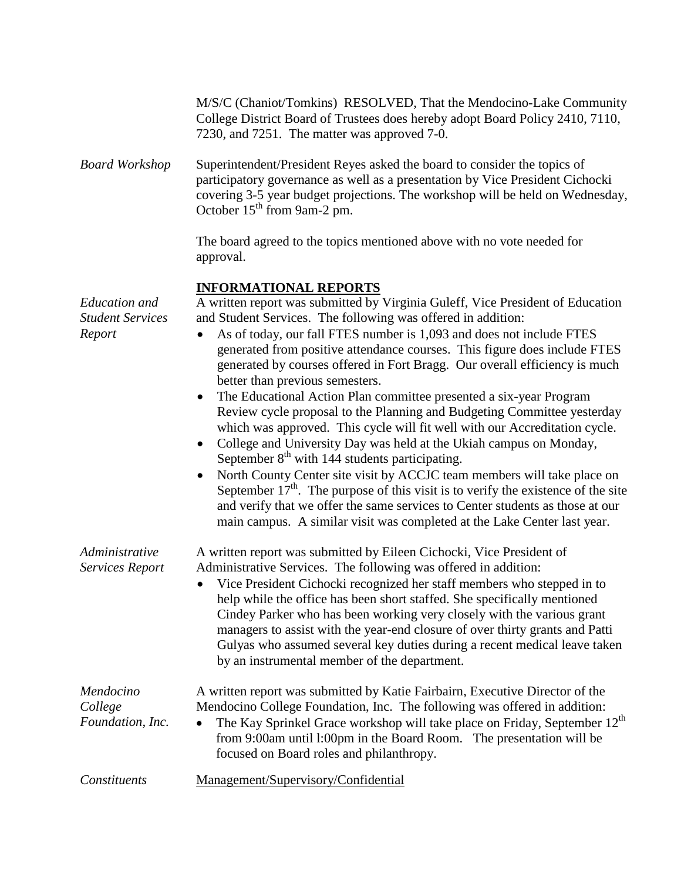|                                                           | M/S/C (Chaniot/Tomkins) RESOLVED, That the Mendocino-Lake Community<br>College District Board of Trustees does hereby adopt Board Policy 2410, 7110,<br>7230, and 7251. The matter was approved 7-0.                                                                                                                                                                                                                                                                                                                                                                                                                                                                                                                                                                                                                                                                                                                                                                                                                                                                                                                                                                                             |
|-----------------------------------------------------------|--------------------------------------------------------------------------------------------------------------------------------------------------------------------------------------------------------------------------------------------------------------------------------------------------------------------------------------------------------------------------------------------------------------------------------------------------------------------------------------------------------------------------------------------------------------------------------------------------------------------------------------------------------------------------------------------------------------------------------------------------------------------------------------------------------------------------------------------------------------------------------------------------------------------------------------------------------------------------------------------------------------------------------------------------------------------------------------------------------------------------------------------------------------------------------------------------|
| <b>Board Workshop</b>                                     | Superintendent/President Reyes asked the board to consider the topics of<br>participatory governance as well as a presentation by Vice President Cichocki<br>covering 3-5 year budget projections. The workshop will be held on Wednesday,<br>October 15 <sup>th</sup> from 9am-2 pm.                                                                                                                                                                                                                                                                                                                                                                                                                                                                                                                                                                                                                                                                                                                                                                                                                                                                                                            |
|                                                           | The board agreed to the topics mentioned above with no vote needed for<br>approval.                                                                                                                                                                                                                                                                                                                                                                                                                                                                                                                                                                                                                                                                                                                                                                                                                                                                                                                                                                                                                                                                                                              |
| <b>Education</b> and<br><b>Student Services</b><br>Report | <b>INFORMATIONAL REPORTS</b><br>A written report was submitted by Virginia Guleff, Vice President of Education<br>and Student Services. The following was offered in addition:<br>As of today, our fall FTES number is 1,093 and does not include FTES<br>$\bullet$<br>generated from positive attendance courses. This figure does include FTES<br>generated by courses offered in Fort Bragg. Our overall efficiency is much<br>better than previous semesters.<br>The Educational Action Plan committee presented a six-year Program<br>$\bullet$<br>Review cycle proposal to the Planning and Budgeting Committee yesterday<br>which was approved. This cycle will fit well with our Accreditation cycle.<br>College and University Day was held at the Ukiah campus on Monday,<br>$\bullet$<br>September $8th$ with 144 students participating.<br>North County Center site visit by ACCJC team members will take place on<br>$\bullet$<br>September $17th$ . The purpose of this visit is to verify the existence of the site<br>and verify that we offer the same services to Center students as those at our<br>main campus. A similar visit was completed at the Lake Center last year. |
| Administrative<br><b>Services Report</b>                  | A written report was submitted by Eileen Cichocki, Vice President of<br>Administrative Services. The following was offered in addition:<br>Vice President Cichocki recognized her staff members who stepped in to<br>help while the office has been short staffed. She specifically mentioned<br>Cindey Parker who has been working very closely with the various grant<br>managers to assist with the year-end closure of over thirty grants and Patti<br>Gulyas who assumed several key duties during a recent medical leave taken<br>by an instrumental member of the department.                                                                                                                                                                                                                                                                                                                                                                                                                                                                                                                                                                                                             |
| Mendocino<br>College<br>Foundation, Inc.                  | A written report was submitted by Katie Fairbairn, Executive Director of the<br>Mendocino College Foundation, Inc. The following was offered in addition:<br>The Kay Sprinkel Grace workshop will take place on Friday, September 12 <sup>th</sup><br>$\bullet$<br>from 9:00am until 1:00pm in the Board Room. The presentation will be<br>focused on Board roles and philanthropy.                                                                                                                                                                                                                                                                                                                                                                                                                                                                                                                                                                                                                                                                                                                                                                                                              |
| Constituents                                              | Management/Supervisory/Confidential                                                                                                                                                                                                                                                                                                                                                                                                                                                                                                                                                                                                                                                                                                                                                                                                                                                                                                                                                                                                                                                                                                                                                              |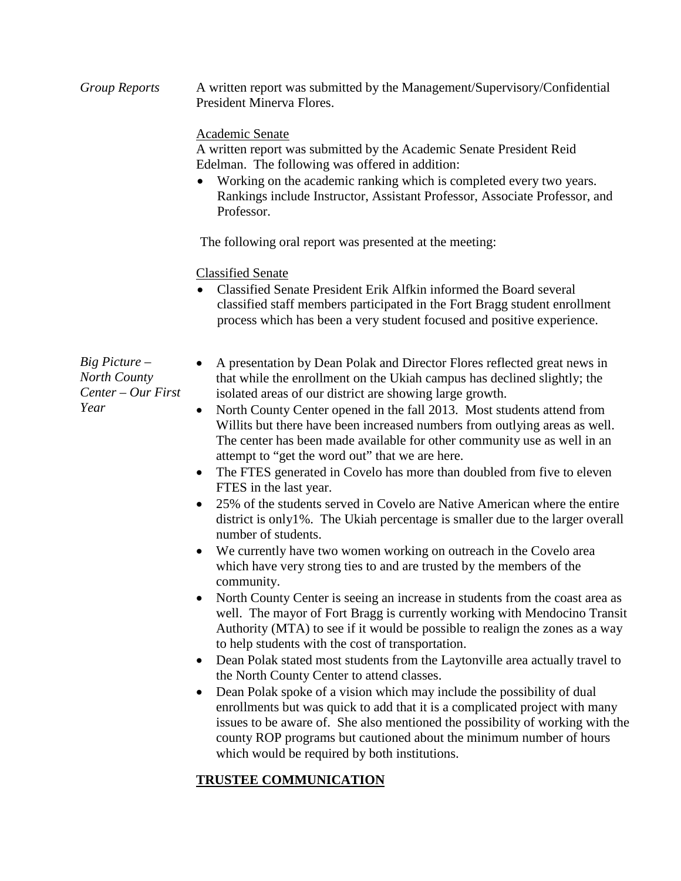*Group Reports* A written report was submitted by the Management/Supervisory/Confidential President Minerva Flores.

## Academic Senate

A written report was submitted by the Academic Senate President Reid Edelman. The following was offered in addition:

• Working on the academic ranking which is completed every two years. Rankings include Instructor, Assistant Professor, Associate Professor, and Professor.

The following oral report was presented at the meeting:

## Classified Senate

• Classified Senate President Erik Alfkin informed the Board several classified staff members participated in the Fort Bragg student enrollment process which has been a very student focused and positive experience.

*Big Picture – North County Center – Our First Year*

- A presentation by Dean Polak and Director Flores reflected great news in that while the enrollment on the Ukiah campus has declined slightly; the isolated areas of our district are showing large growth.
	- North County Center opened in the fall 2013. Most students attend from Willits but there have been increased numbers from outlying areas as well. The center has been made available for other community use as well in an attempt to "get the word out" that we are here.
- The FTES generated in Covelo has more than doubled from five to eleven FTES in the last year.
- 25% of the students served in Covelo are Native American where the entire district is only1%. The Ukiah percentage is smaller due to the larger overall number of students.
- We currently have two women working on outreach in the Covelo area which have very strong ties to and are trusted by the members of the community.
- North County Center is seeing an increase in students from the coast area as well. The mayor of Fort Bragg is currently working with Mendocino Transit Authority (MTA) to see if it would be possible to realign the zones as a way to help students with the cost of transportation.
- Dean Polak stated most students from the Laytonville area actually travel to the North County Center to attend classes.
- Dean Polak spoke of a vision which may include the possibility of dual enrollments but was quick to add that it is a complicated project with many issues to be aware of. She also mentioned the possibility of working with the county ROP programs but cautioned about the minimum number of hours which would be required by both institutions.

# **TRUSTEE COMMUNICATION**